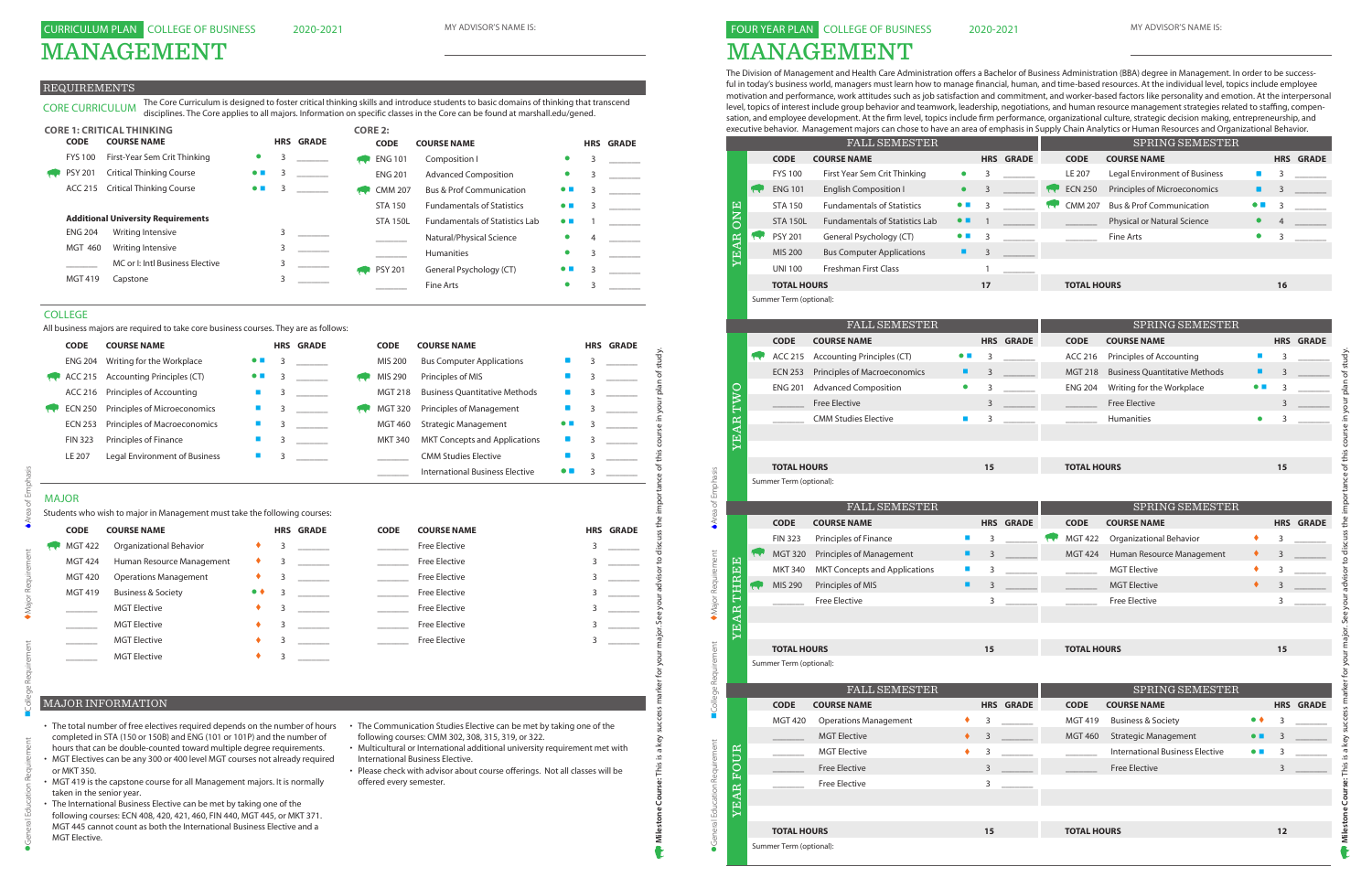# MANAGEMENT

### REQUIREMENTS

# MAJOR

| <b>ENG 204</b><br>ACC 215<br>ACC 216<br><b>ECN 250</b><br><b>ECN 253</b><br><b>FIN 323</b> | Writing for the Workplace<br><b>Accounting Principles (CT)</b><br>Principles of Accounting |                     |   |                  |                |                                        |                          |   |                  |
|--------------------------------------------------------------------------------------------|--------------------------------------------------------------------------------------------|---------------------|---|------------------|----------------|----------------------------------------|--------------------------|---|------------------|
|                                                                                            |                                                                                            |                     | 3 |                  | MIS 200        | <b>Bus Computer Applications</b>       |                          | 3 |                  |
|                                                                                            |                                                                                            |                     | 3 |                  | MIS 290        | Principles of MIS                      |                          | 3 |                  |
|                                                                                            |                                                                                            | $\blacksquare$      | 3 |                  | <b>MGT 218</b> | <b>Business Quantitative Methods</b>   | П                        |   |                  |
|                                                                                            | Principles of Microeconomics                                                               | $\blacksquare$      | 3 |                  | <b>MGT 320</b> | Principles of Management               |                          | 3 |                  |
|                                                                                            | Principles of Macroeconomics                                                               | <b>Co</b>           | 3 |                  | <b>MGT 460</b> | <b>Strategic Management</b>            | $\bullet$ $\blacksquare$ | 3 |                  |
|                                                                                            | Principles of Finance                                                                      | a.                  | 3 |                  | <b>MKT 340</b> | <b>MKT Concepts and Applications</b>   |                          | 3 |                  |
| LE 207                                                                                     | Legal Environment of Business                                                              | П                   | 3 |                  |                | <b>CMM Studies Elective</b>            |                          | 3 |                  |
|                                                                                            |                                                                                            |                     |   |                  |                | <b>International Business Elective</b> | $\bullet$ $\blacksquare$ | 3 |                  |
| <b>MAJOR</b>                                                                               |                                                                                            |                     |   |                  |                |                                        |                          |   |                  |
|                                                                                            | Students who wish to major in Management must take the following courses:                  |                     |   |                  |                |                                        |                          |   |                  |
| <b>CODE</b>                                                                                | <b>COURSE NAME</b>                                                                         |                     |   | <b>HRS GRADE</b> | <b>CODE</b>    | <b>COURSE NAME</b>                     |                          |   | <b>HRS GRADE</b> |
| <b>MGT 422</b>                                                                             | Organizational Behavior                                                                    |                     | 3 |                  |                | <b>Free Elective</b>                   |                          | 3 |                  |
| <b>MGT 424</b>                                                                             | Human Resource Management                                                                  |                     | 3 |                  |                | <b>Free Elective</b>                   |                          | 3 |                  |
| <b>MGT 420</b>                                                                             | <b>Operations Management</b>                                                               | ٠                   | 3 |                  | $\sim 10^{11}$ | <b>Free Elective</b>                   |                          | 3 |                  |
| <b>MGT 419</b>                                                                             | <b>Business &amp; Society</b>                                                              | $\bullet$ $\bullet$ | 3 |                  |                | <b>Free Elective</b>                   |                          | 3 |                  |
|                                                                                            | <b>MGT Elective</b>                                                                        | ٠                   | 3 |                  |                | <b>Free Elective</b>                   |                          | 3 |                  |
|                                                                                            | <b>MGT Elective</b>                                                                        |                     | 3 |                  |                | <b>Free Elective</b>                   |                          | 3 |                  |
|                                                                                            | <b>MGT Elective</b>                                                                        |                     | 3 |                  |                | <b>Free Elective</b>                   |                          | 3 |                  |
|                                                                                            | <b>MGT</b> Elective                                                                        |                     | 3 |                  |                |                                        |                          |   |                  |

CORE CURRICULUM The Core Curriculum is designed to foster critical thinking skills and introduce students to basic domains of thinking that transcend disciplines. The Core applies to all majors. Information on specific classes in the Core can be found at marshall.edu/gened.

|                | <b>CORE 1: CRITICAL THINKING</b>          |                          |   |                  | <b>CORE 2:</b>  |                                       |                          |   |                  |
|----------------|-------------------------------------------|--------------------------|---|------------------|-----------------|---------------------------------------|--------------------------|---|------------------|
| <b>CODE</b>    | <b>COURSE NAME</b>                        |                          |   | <b>HRS GRADE</b> | <b>CODE</b>     | <b>COURSE NAME</b>                    |                          |   | <b>HRS GRADE</b> |
| <b>FYS 100</b> | First-Year Sem Crit Thinking              | $\bullet$                | 3 |                  | <b>ENG 101</b>  | Composition I                         | $\bullet$                | 3 |                  |
| <b>PSY 201</b> | <b>Critical Thinking Course</b>           | $\bullet$ $\blacksquare$ | 3 |                  | <b>ENG 201</b>  | <b>Advanced Composition</b>           | $\bullet$                | 3 |                  |
| ACC 215        | <b>Critical Thinking Course</b>           | $\bullet$ $\blacksquare$ | 3 |                  | <b>CMM 207</b>  | <b>Bus &amp; Prof Communication</b>   | $\bullet$ $\blacksquare$ | 3 |                  |
|                |                                           |                          |   |                  | <b>STA 150</b>  | <b>Fundamentals of Statistics</b>     | $\bullet$ $\blacksquare$ | 3 |                  |
|                | <b>Additional University Requirements</b> |                          |   |                  | <b>STA 150L</b> | <b>Fundamentals of Statistics Lab</b> | $\bullet$ $\blacksquare$ |   |                  |
| <b>ENG 204</b> | Writing Intensive                         |                          |   |                  |                 | Natural/Physical Science              | $\bullet$                | 4 |                  |
| <b>MGT 460</b> | Writing Intensive                         |                          | 3 |                  |                 | <b>Humanities</b>                     | $\bullet$                | 3 |                  |
|                | MC or I: Intl Business Elective           |                          | 3 |                  | <b>PSY 201</b>  | General Psychology (CT)               | $\bullet$ $\blacksquare$ | 3 |                  |
| <b>MGT 419</b> | Capstone                                  |                          | 3 |                  |                 | Fine Arts                             |                          | 3 |                  |

- The total number of free electives required depends on the number of hours The Communication Studies Elective can be met by taking one of the completed in STA (150 or 150B) and ENG (101 or 101P) and the number of hours that can be double-counted toward multiple degree requirements.
- MGT Electives can be any 300 or 400 level MGT courses not already required or MKT 350.
- MGT 419 is the capstone course for all Management majors. It is normally taken in the senior year.
- The International Business Elective can be met by taking one of the following courses: ECN 408, 420, 421, 460, FIN 440, MGT 445, or MKT 371. MGT 445 cannot count as both the International Business Elective and a MGT Elective.
- following courses: CMM 302, 308, 315, 319, or 322.
- Multicultural or International additional university requirement met with International Business Elective.
- Please check with advisor about course offerings. Not all classes will be offered every semester.

## MAJOR INFORMATION

#### COLLEGE

All business majors are required to take core business courses. They are as follows:

# 2020-2021 FOUR YEAR PLAN COLLEGE OF BUSINESS MANAGEMENT

The Division of Management and Health Care Administration offers a Bachelor of Business Administration (BBA) degree in Management. In order to be success-

ful in today's business world, managers must learn how to manage financial, human, and time-based resources. At the individual level, topics include employee motivation and performance, work attitudes such as job satisfaction and commitment, and worker-based factors like personality and emotion. At the interpersonal level, topics of interest include group behavior and teamwork, leadership, negotiations, and human resource management strategies related to staffing, compensation, and employee development. At the firm level, topics include firm performance, organizational culture, strategic decision making, entrepreneurship, and executive behavior. Management majors can chose to have an area of emphasis in Supply Chain Analytics or Human Resources and Organizational Behavior.

| <b>CODE</b>    | <b>COURSE NAME</b>                   |                          | <b>HRS GRADE</b> | <b>CODE</b>    | <b>COURSE NAME</b>                     |                          | <b>HRS GRADE</b> |
|----------------|--------------------------------------|--------------------------|------------------|----------------|----------------------------------------|--------------------------|------------------|
| <b>ENG 204</b> | Writing for the Workplace            | $\bullet$ $\blacksquare$ |                  | MIS 200        | <b>Bus Computer Applications</b>       |                          |                  |
| ACC 215        | Accounting Principles (CT)           | $\bullet$ $\blacksquare$ |                  | MIS 290        | Principles of MIS                      |                          |                  |
| ACC 216        | Principles of Accounting             |                          |                  | <b>MGT 218</b> | <b>Business Ouantitative Methods</b>   |                          |                  |
| <b>ECN 250</b> | Principles of Microeconomics         |                          |                  | <b>MGT 320</b> | Principles of Management               |                          |                  |
| <b>ECN 253</b> | Principles of Macroeconomics         |                          |                  | <b>MGT 460</b> | <b>Strategic Management</b>            | $\bullet$ $\blacksquare$ |                  |
| <b>FIN 323</b> | <b>Principles of Finance</b>         |                          |                  | <b>MKT 340</b> | <b>MKT Concepts and Applications</b>   |                          |                  |
| LE 207         | <b>Legal Environment of Business</b> |                          |                  |                | <b>CMM Studies Elective</b>            |                          |                  |
|                |                                      |                          |                  |                | <b>International Business Elective</b> | $\bullet$ $\blacksquare$ |                  |

|                   |                 |                         |                                                           |                             |              |                  |                    | SPRING SEMESTER                                                       |                             |                  |  |
|-------------------|-----------------|-------------------------|-----------------------------------------------------------|-----------------------------|--------------|------------------|--------------------|-----------------------------------------------------------------------|-----------------------------|------------------|--|
|                   |                 | <b>CODE</b>             | <b>COURSE NAME</b>                                        |                             |              | <b>HRS GRADE</b> | <b>CODE</b>        | <b>COURSE NAME</b>                                                    |                             | <b>HRS GRADE</b> |  |
|                   |                 | <b>FYS 100</b>          | First Year Sem Crit Thinking                              | $\bullet$                   | 3            |                  | LE 207             | Legal Environment of Business                                         | $\blacksquare$              | 3                |  |
|                   |                 | <b>ENG 101</b>          | <b>English Composition I</b>                              | $\bullet$                   | 3            |                  | <b>ECN 250</b>     | Principles of Microeconomics                                          | п                           | 3                |  |
| <b>ONE</b>        |                 | <b>STA 150</b>          | <b>Fundamentals of Statistics</b>                         | $\bullet\ \blacksquare$     | 3            |                  | <b>CMM 207</b>     | <b>Bus &amp; Prof Communication</b>                                   | $\bullet$ $\blacksquare$    | 3                |  |
|                   |                 | <b>STA 150L</b>         | <b>Fundamentals of Statistics Lab</b>                     | $\bullet$ $\blacksquare$    | $\mathbf{1}$ |                  |                    | Physical or Natural Science                                           | $\bullet$                   |                  |  |
|                   | <b>Contract</b> | <b>PSY 201</b>          | General Psychology (CT)                                   | $\bullet$ $\blacksquare$    | 3            |                  |                    | Fine Arts                                                             | $\bullet$                   | 3                |  |
| YEAR              |                 | <b>MIS 200</b>          | <b>Bus Computer Applications</b>                          | ٠                           | 3            |                  |                    |                                                                       |                             |                  |  |
|                   |                 | <b>UNI 100</b>          | <b>Freshman First Class</b>                               |                             | 1            |                  |                    |                                                                       |                             |                  |  |
|                   |                 | <b>TOTAL HOURS</b>      |                                                           |                             | 17           |                  | <b>TOTAL HOURS</b> |                                                                       |                             | 16               |  |
|                   |                 | Summer Term (optional): |                                                           |                             |              |                  |                    |                                                                       |                             |                  |  |
|                   |                 |                         | <b>FALL SEMESTER</b>                                      |                             |              |                  |                    | SPRING SEMESTER                                                       |                             |                  |  |
|                   |                 | <b>CODE</b>             | <b>COURSE NAME</b>                                        |                             |              | <b>HRS GRADE</b> | <b>CODE</b>        | <b>COURSE NAME</b>                                                    |                             | <b>HRS GRADE</b> |  |
|                   | <b>North</b>    |                         | ACC 215 Accounting Principles (CT)                        | $\bullet\ \blacksquare$     | 3            |                  | ACC 216            | Principles of Accounting                                              | $\mathcal{L}_{\mathcal{A}}$ | 3                |  |
|                   |                 | <b>ECN 253</b>          | Principles of Macroeconomics                              | ٠                           | 3            |                  | <b>MGT 218</b>     | <b>Business Quantitative Methods</b>                                  | ٠                           | 3                |  |
|                   |                 | <b>ENG 201</b>          | <b>Advanced Composition</b>                               | $\bullet$                   | 3            |                  | <b>ENG 204</b>     | Writing for the Workplace                                             | $\bullet$ $\blacksquare$    | 3                |  |
| TWO               |                 |                         | <b>Free Elective</b>                                      |                             | 3            |                  |                    | <b>Free Elective</b>                                                  |                             | 3                |  |
|                   |                 |                         | <b>CMM Studies Elective</b>                               | $\mathcal{L}_{\mathcal{A}}$ | 3            |                  |                    | <b>Humanities</b>                                                     |                             | 3                |  |
| YEAR              |                 |                         |                                                           |                             |              |                  |                    |                                                                       |                             |                  |  |
|                   |                 |                         |                                                           |                             |              |                  |                    |                                                                       |                             |                  |  |
|                   |                 |                         |                                                           |                             | 15           |                  | <b>TOTAL HOURS</b> |                                                                       |                             | 15               |  |
|                   |                 | <b>TOTAL HOURS</b>      |                                                           |                             |              |                  |                    |                                                                       |                             |                  |  |
|                   |                 | Summer Term (optional): |                                                           |                             |              |                  |                    |                                                                       |                             |                  |  |
|                   |                 |                         |                                                           |                             |              |                  |                    |                                                                       |                             |                  |  |
|                   |                 | <b>CODE</b>             | <b>FALL SEMESTER</b><br><b>COURSE NAME</b>                |                             |              | <b>HRS GRADE</b> | <b>CODE</b>        | SPRING SEMESTER<br><b>COURSE NAME</b>                                 |                             | <b>HRS GRADE</b> |  |
|                   |                 | <b>FIN 323</b>          | Principles of Finance                                     | ×                           | 3            |                  | <b>MGT 422</b>     | Organizational Behavior                                               | ٠                           | 3                |  |
|                   | $\sqrt{2}$      | <b>MGT 320</b>          |                                                           | п                           | 3            |                  | <b>MGT 424</b>     |                                                                       | ٠                           | 3                |  |
|                   |                 | <b>MKT 340</b>          | Principles of Management                                  | $\blacksquare$              | 3            |                  |                    | Human Resource Management<br><b>MGT Elective</b>                      | ٠                           | 3                |  |
|                   |                 | MIS 290                 | <b>MKT Concepts and Applications</b><br>Principles of MIS | ٠                           | 3            |                  |                    | <b>MGT</b> Elective                                                   | ۰                           | 3                |  |
| THREE             |                 |                         | <b>Free Elective</b>                                      |                             | 3            |                  |                    | <b>Free Elective</b>                                                  |                             | 3                |  |
|                   |                 |                         |                                                           |                             |              |                  |                    |                                                                       |                             |                  |  |
| AR<br>ぱ           |                 |                         |                                                           |                             |              |                  |                    |                                                                       |                             |                  |  |
| ≻                 |                 | <b>TOTAL HOURS</b>      |                                                           |                             | 15           |                  | <b>TOTAL HOURS</b> |                                                                       |                             | 15               |  |
|                   |                 | Summer Term (optional): |                                                           |                             |              |                  |                    |                                                                       |                             |                  |  |
|                   |                 |                         |                                                           |                             |              |                  |                    |                                                                       |                             |                  |  |
|                   |                 | <b>CODE</b>             | FALL SEMESTER<br><b>COURSE NAME</b>                       |                             |              | <b>HRS GRADE</b> | <b>CODE</b>        | SPRING SEMESTER<br><b>COURSE NAME</b>                                 |                             | <b>HRS GRADE</b> |  |
|                   |                 | <b>MGT 420</b>          | <b>Operations Management</b>                              |                             | 3            |                  | <b>MGT 419</b>     |                                                                       | $\bullet\bullet$            | 3                |  |
|                   |                 |                         | <b>MGT Elective</b>                                       |                             | 3            |                  | <b>MGT 460</b>     | <b>Business &amp; Society</b>                                         | $\bullet$ $\blacksquare$    |                  |  |
|                   |                 |                         | <b>MGT Elective</b>                                       |                             | 3            |                  |                    | <b>Strategic Management</b><br><b>International Business Elective</b> | $\bullet$ $\blacksquare$    | 3                |  |
| UR<br>$\circ$     |                 |                         | <b>Free Elective</b>                                      |                             | 3            |                  |                    | <b>Free Elective</b>                                                  |                             | 3                |  |
| 囟                 |                 |                         | <b>Free Elective</b>                                      |                             | 3            |                  |                    |                                                                       |                             |                  |  |
| $\mathbf{a}$<br>₹ |                 |                         |                                                           |                             |              |                  |                    |                                                                       |                             |                  |  |
| УE,               |                 |                         |                                                           |                             |              |                  |                    |                                                                       |                             |                  |  |